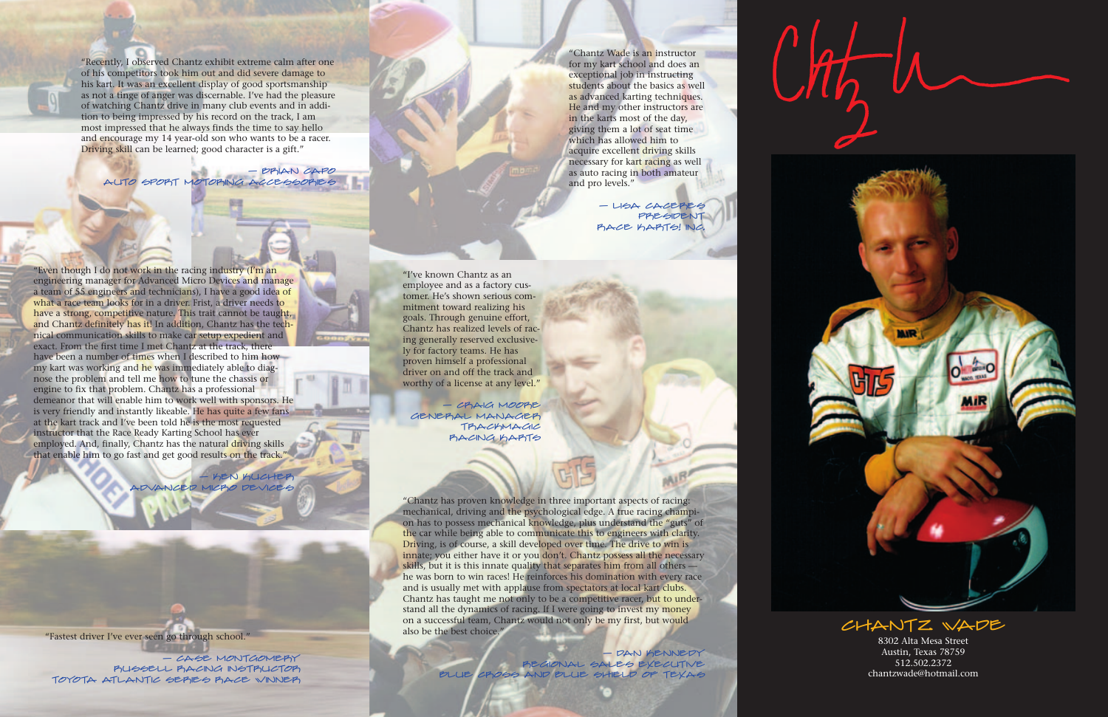8302 Alta Mesa Street Austin, Texas 78759 512.502.2372chantzwade@hotmail.com

"Even though I do not work in the racing industry (I'm an engineering manager for Advanced Micro Devices and manage a team of 55 engineers and technicians), I have a good idea of what a race team looks for in a driver. Frist, a driver needs to have a strong, competitive nature. This trait cannot be taught, and Chantz definitely has it! In addition, Chantz has the technical communication skills to make car setup expedient and exact. From the first time I met Chantz at the track, there have been a number of times when I described to him how my kart was working and he was immediately able to diagnose the problem and tell me how to tune the chassis or engine to fix that problem. Chantz has a professional demeanor that will enable him to work well with sponsors. He is very friendly and instantly likeable. He has quite a few fans at the kart track and I've been told he is the most requested instructor that the Race Ready Karting School has ever employed. And, finally, Chantz has the natural driving skills that enable him to go fast and get good results on the track."

— Ken Kucher **JCED MICRO DEVICES** 

- DAN KENNEDY Regional Sales Executive Blue Cross and Blue Shield of Texas

 $l$  that  $l$ 

CHANTZ WADE

- CASE MONTGOMERY Russell Racing Instructor Toyota Atlantic Series Race Winner

"Recently, I observed Chantz exhibit extreme calm after one of his competitors took him out and did severe damage to his kart. It was an excellent display of good sportsmanship as not a tinge of anger was discernable. I've had the pleasure of watching Chantz drive in many club events and in addition to being impressed by his record on the track, I am most impressed that he always finds the time to say hello and encourage my 14 year-old son who wants to be a racer. Driving skill can be learned; good character is a gift."

"Chantz Wade is an instructor for my kart school and does an exceptional job in instructing students about the basics as well as advanced karting techniques. He and my other instructors are in the karts most of the day, giving them a lot of seat time which has allowed him to acquire excellent driving skills necessary for kart racing as well as auto racing in both amateur and pro levels."

> $-$  LISA CACERES President Race Karts! Inc.

— Brian Capo Auto Sport Motoring Accessories

> $-$  CPAC MOORE General Manager TRACKMAGIC Racing Karts

"Chantz has proven knowledge in three important aspects of racing: mechanical, driving and the psychological edge. A true racing champion has to possess mechanical knowledge, plus understand the "guts" of the car while being able to communicate this to engineers with clarity. Driving, is of course, a skill developed over time. The drive to win is innate; you either have it or you don't. Chantz possess all the necessary skills, but it is this innate quality that separates him from all others he was born to win races! He reinforces his domination with every race and is usually met with applause from spectators at local kart clubs. Chantz has taught me not only to be a competitive racer, but to understand all the dynamics of racing. If I were going to invest my money on a successful team, Chantz would not only be my first, but would also be the best choice."

"Fastest driver I've ever seen go through school."

"I've known Chantz as anemployee and as a factory customer. He's shown serious commitment toward realizing his goals. Through genuine effort, Chantz has realized levels of racing generally reserved exclusively for factory teams. He has proven himself a professional driver on and off the track andworthy of a license at any level."